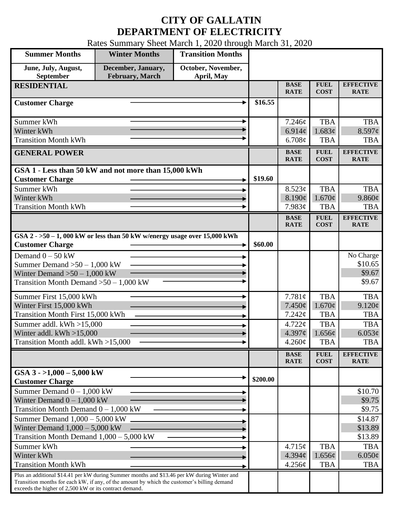## **CITY OF GALLATIN DEPARTMENT OF ELECTRICITY**

Rates Summary Sheet March 1, 2020 through March 31, 2020

| <b>Summer Months</b>                                                                                                                                                                       | <b>Winter Months</b>                  | <b>Transition Months</b>         |          |                            |                            |                                 |
|--------------------------------------------------------------------------------------------------------------------------------------------------------------------------------------------|---------------------------------------|----------------------------------|----------|----------------------------|----------------------------|---------------------------------|
| June, July, August,<br>September                                                                                                                                                           | December, January,<br>February, March | October, November,<br>April, May |          |                            |                            |                                 |
| <b>RESIDENTIAL</b>                                                                                                                                                                         |                                       |                                  |          | <b>BASE</b><br><b>RATE</b> | <b>FUEL</b><br><b>COST</b> | <b>EFFECTIVE</b><br><b>RATE</b> |
| <b>Customer Charge</b>                                                                                                                                                                     |                                       |                                  | \$16.55  |                            |                            |                                 |
| Summer kWh                                                                                                                                                                                 |                                       |                                  |          | 7.246¢                     | <b>TBA</b>                 | <b>TBA</b>                      |
| Winter kWh                                                                                                                                                                                 |                                       |                                  |          | 6.914¢                     | 1.683¢                     | $8.597$ ¢                       |
| <b>Transition Month kWh</b>                                                                                                                                                                |                                       |                                  |          | 6.708¢                     | <b>TBA</b>                 | <b>TBA</b>                      |
| <b>GENERAL POWER</b>                                                                                                                                                                       |                                       |                                  |          | <b>BASE</b><br><b>RATE</b> | <b>FUEL</b><br><b>COST</b> | <b>EFFECTIVE</b><br><b>RATE</b> |
| GSA 1 - Less than 50 kW and not more than 15,000 kWh                                                                                                                                       |                                       |                                  |          |                            |                            |                                 |
| <b>Customer Charge</b>                                                                                                                                                                     |                                       |                                  | \$19.60  |                            |                            |                                 |
| Summer kWh                                                                                                                                                                                 |                                       |                                  |          | 8.523¢                     | <b>TBA</b>                 | <b>TBA</b>                      |
| Winter kWh<br><b>Transition Month kWh</b>                                                                                                                                                  |                                       |                                  |          | 8.190¢                     | $1.670\varphi$             | 9.860¢                          |
|                                                                                                                                                                                            |                                       |                                  |          | 7.983¢                     | <b>TBA</b>                 | <b>TBA</b>                      |
|                                                                                                                                                                                            |                                       |                                  |          | <b>BASE</b><br><b>RATE</b> | <b>FUEL</b><br><b>COST</b> | <b>EFFECTIVE</b><br><b>RATE</b> |
| GSA $2 - 50 - 1$ , 000 kW or less than 50 kW w/energy usage over 15,000 kWh<br><b>Customer Charge</b>                                                                                      |                                       |                                  | \$60.00  |                            |                            |                                 |
| Demand $0 - 50$ kW                                                                                                                                                                         |                                       |                                  |          |                            |                            | No Charge                       |
| Summer Demand $>50-1,000$ kW                                                                                                                                                               |                                       |                                  |          |                            |                            | \$10.65                         |
| Winter Demand $>50 - 1,000$ kW                                                                                                                                                             |                                       |                                  |          |                            |                            | \$9.67                          |
| Transition Month Demand $>50-1,000$ kW                                                                                                                                                     |                                       |                                  |          |                            |                            | \$9.67                          |
| Summer First 15,000 kWh                                                                                                                                                                    |                                       |                                  |          | 7.781¢                     | <b>TBA</b>                 | <b>TBA</b>                      |
| Winter First 15,000 kWh                                                                                                                                                                    |                                       |                                  |          | 7.450¢                     | $1.670\text{¢}$            | $9.120\epsilon$                 |
| <b>Transition Month First 15,000 kWh</b>                                                                                                                                                   |                                       |                                  |          | 7.242¢                     | <b>TBA</b>                 | <b>TBA</b>                      |
| Summer addl. kWh >15,000                                                                                                                                                                   |                                       |                                  |          | $4.722 \mathcal{C}$        | <b>TBA</b>                 | <b>TBA</b>                      |
| Winter addl. $kWh > 15,000$                                                                                                                                                                |                                       |                                  |          | 4.397¢                     | 1.656¢                     | 6.053¢                          |
| Transition Month addl. kWh >15,000                                                                                                                                                         |                                       |                                  |          | $4.260\phi$                | <b>TBA</b>                 | <b>TBA</b>                      |
|                                                                                                                                                                                            |                                       |                                  |          | <b>BASE</b><br><b>RATE</b> | <b>FUEL</b><br><b>COST</b> | <b>EFFECTIVE</b><br><b>RATE</b> |
| GSA $3 - 1,000 - 5,000$ kW<br><b>Customer Charge</b>                                                                                                                                       |                                       |                                  | \$200.00 |                            |                            |                                 |
| Summer Demand $0 - 1,000$ kW                                                                                                                                                               |                                       |                                  |          |                            |                            | \$10.70                         |
| Winter Demand $0 - 1,000$ kW                                                                                                                                                               |                                       |                                  |          |                            |                            | \$9.75                          |
| Transition Month Demand $0 - 1,000$ kW                                                                                                                                                     |                                       |                                  |          |                            |                            | \$9.75                          |
| Summer Demand $1,000 - 5,000$ kW                                                                                                                                                           |                                       |                                  |          |                            |                            | \$14.87                         |
| Winter Demand $1,000 - 5,000$ kW                                                                                                                                                           |                                       |                                  |          |                            |                            | \$13.89                         |
| Transition Month Demand $1,000 - 5,000$ kW                                                                                                                                                 |                                       |                                  |          |                            |                            | \$13.89                         |
| Summer kWh                                                                                                                                                                                 |                                       |                                  |          | 4.715¢                     | <b>TBA</b>                 | <b>TBA</b>                      |
| Winter kWh                                                                                                                                                                                 |                                       |                                  |          | 4.394¢                     | 1.656¢                     | $6.050\ell$                     |
| <b>Transition Month kWh</b>                                                                                                                                                                |                                       |                                  |          | 4.256¢                     | <b>TBA</b>                 | <b>TBA</b>                      |
| Plus an additional \$14.41 per kW during Summer months and \$13.46 per kW during Winter and<br>Transition months for each kW, if any, of the amount by which the customer's billing demand |                                       |                                  |          |                            |                            |                                 |
| exceeds the higher of 2,500 kW or its contract demand.                                                                                                                                     |                                       |                                  |          |                            |                            |                                 |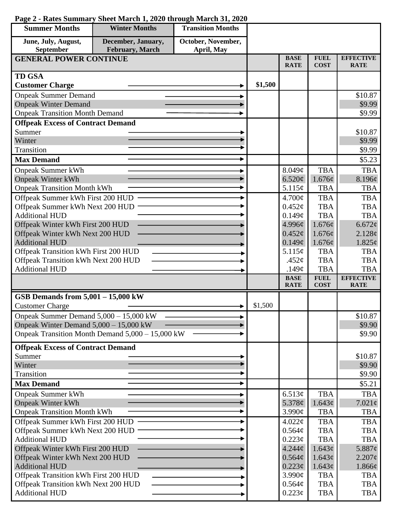| October, November,<br>June, July, August,<br>December, January,<br><b>February</b> , March<br>September<br>April, May<br><b>BASE</b><br><b>EFFECTIVE</b><br><b>FUEL</b><br><b>GENERAL POWER CONTINUE</b><br><b>COST</b><br><b>RATE</b><br><b>RATE</b><br><b>TD GSA</b><br>\$1,500<br><b>Customer Charge</b><br><b>Onpeak Summer Demand</b><br>\$10.87<br><b>Onpeak Winter Demand</b><br>\$9.99<br><b>Onpeak Transition Month Demand</b><br>\$9.99<br><b>Offpeak Excess of Contract Demand</b><br>Summer<br>\$10.87<br>Winter<br>\$9.99<br>Transition<br>\$9.99<br><b>Max Demand</b><br>\$5.23<br><b>TBA</b><br>8.049¢<br><b>Onpeak Summer kWh</b><br><b>TBA</b><br><b>Onpeak Winter kWh</b><br>6.520¢<br>1.676¢<br>8.196¢<br><b>Onpeak Transition Month kWh</b><br>5.115¢<br><b>TBA</b><br><b>TBA</b><br>Offpeak Summer kWh First 200 HUD<br>4.700¢<br><b>TBA</b><br><b>TBA</b><br>Offpeak Summer kWh Next 200 HUD<br><b>TBA</b><br><b>TBA</b><br>$0.452\mathcal{C}$<br><b>Additional HUD</b><br><b>TBA</b><br><b>TBA</b><br>0.149¢<br>Offpeak Winter kWh First 200 HUD<br>4.996¢<br>1.676¢<br>6.672¢<br>Offpeak Winter kWh Next 200 HUD<br>$0.452\epsilon$<br>1.676¢<br>2.128¢<br><b>Additional HUD</b><br>0.149¢<br>1.676¢<br>$1.825\phi$<br>Offpeak Transition kWh First 200 HUD<br>5.115¢<br><b>TBA</b><br><b>TBA</b><br>Offpeak Transition kWh Next 200 HUD<br><b>TBA</b><br><b>TBA</b><br>.452 $\phi$<br><b>Additional HUD</b><br><b>TBA</b><br><b>TBA</b><br>.149 $\phi$<br><b>EFFECTIVE</b><br><b>BASE</b><br><b>FUEL</b><br><b>COST</b><br><b>RATE</b><br><b>RATE</b><br>GSB Demands from 5,001 - 15,000 kW<br>\$1,500<br><b>Customer Charge</b><br>Onpeak Summer Demand 5,000 - 15,000 kW<br>\$10.87<br>Onpeak Winter Demand 5,000 - 15,000 kW<br>\$9.90<br>Onpeak Transition Month Demand 5,000 - 15,000 kW<br>\$9.90<br><b>Offpeak Excess of Contract Demand</b><br>Summer<br>\$10.87<br>Winter<br>\$9.90<br>Transition<br>\$9.90<br><b>Max Demand</b><br>\$5.21<br><b>TBA</b><br>6.513¢<br><b>TBA</b><br><b>Onpeak Summer kWh</b><br><b>Onpeak Winter kWh</b><br>5.378¢<br>1.643¢<br>$7.021\phi$<br><b>Onpeak Transition Month kWh</b><br>3.990¢<br><b>TBA</b><br><b>TBA</b><br>Offpeak Summer kWh First 200 HUD<br>$4.022\phi$<br><b>TBA</b><br><b>TBA</b><br>Offpeak Summer kWh Next 200 HUD<br><b>TBA</b><br>0.564¢<br><b>TBA</b><br><b>Additional HUD</b><br>$0.223\phi$<br><b>TBA</b><br><b>TBA</b><br>Offpeak Winter kWh First 200 HUD<br>$4.244\phi$<br>1.643¢<br>5.887 $\phi$<br>Offpeak Winter kWh Next 200 HUD<br>0.564¢<br>1.643¢<br>$2.207\phi$<br><b>Additional HUD</b><br>$0.223\phi$<br>1.643¢<br>$1.866\phi$<br>Offpeak Transition kWh First 200 HUD<br>3.990¢<br><b>TBA</b><br><b>TBA</b><br>Offpeak Transition kWh Next 200 HUD<br>0.564¢<br><b>TBA</b><br><b>TBA</b><br><b>Additional HUD</b><br><b>TBA</b><br>$0.223\epsilon$<br><b>TBA</b> | <b>Summer Months</b> | <b>Winter Months</b> | <b>Transition Months</b> |  |  |
|------------------------------------------------------------------------------------------------------------------------------------------------------------------------------------------------------------------------------------------------------------------------------------------------------------------------------------------------------------------------------------------------------------------------------------------------------------------------------------------------------------------------------------------------------------------------------------------------------------------------------------------------------------------------------------------------------------------------------------------------------------------------------------------------------------------------------------------------------------------------------------------------------------------------------------------------------------------------------------------------------------------------------------------------------------------------------------------------------------------------------------------------------------------------------------------------------------------------------------------------------------------------------------------------------------------------------------------------------------------------------------------------------------------------------------------------------------------------------------------------------------------------------------------------------------------------------------------------------------------------------------------------------------------------------------------------------------------------------------------------------------------------------------------------------------------------------------------------------------------------------------------------------------------------------------------------------------------------------------------------------------------------------------------------------------------------------------------------------------------------------------------------------------------------------------------------------------------------------------------------------------------------------------------------------------------------------------------------------------------------------------------------------------------------------------------------------------------------------------------------------------------------------------------------------------------------------------------------------------------------------------------------------------------------------------------------------------------------------------------------------------------------------------------------------------------------------------------------------------------------------|----------------------|----------------------|--------------------------|--|--|
|                                                                                                                                                                                                                                                                                                                                                                                                                                                                                                                                                                                                                                                                                                                                                                                                                                                                                                                                                                                                                                                                                                                                                                                                                                                                                                                                                                                                                                                                                                                                                                                                                                                                                                                                                                                                                                                                                                                                                                                                                                                                                                                                                                                                                                                                                                                                                                                                                                                                                                                                                                                                                                                                                                                                                                                                                                                                              |                      |                      |                          |  |  |
|                                                                                                                                                                                                                                                                                                                                                                                                                                                                                                                                                                                                                                                                                                                                                                                                                                                                                                                                                                                                                                                                                                                                                                                                                                                                                                                                                                                                                                                                                                                                                                                                                                                                                                                                                                                                                                                                                                                                                                                                                                                                                                                                                                                                                                                                                                                                                                                                                                                                                                                                                                                                                                                                                                                                                                                                                                                                              |                      |                      |                          |  |  |
|                                                                                                                                                                                                                                                                                                                                                                                                                                                                                                                                                                                                                                                                                                                                                                                                                                                                                                                                                                                                                                                                                                                                                                                                                                                                                                                                                                                                                                                                                                                                                                                                                                                                                                                                                                                                                                                                                                                                                                                                                                                                                                                                                                                                                                                                                                                                                                                                                                                                                                                                                                                                                                                                                                                                                                                                                                                                              |                      |                      |                          |  |  |
|                                                                                                                                                                                                                                                                                                                                                                                                                                                                                                                                                                                                                                                                                                                                                                                                                                                                                                                                                                                                                                                                                                                                                                                                                                                                                                                                                                                                                                                                                                                                                                                                                                                                                                                                                                                                                                                                                                                                                                                                                                                                                                                                                                                                                                                                                                                                                                                                                                                                                                                                                                                                                                                                                                                                                                                                                                                                              |                      |                      |                          |  |  |
|                                                                                                                                                                                                                                                                                                                                                                                                                                                                                                                                                                                                                                                                                                                                                                                                                                                                                                                                                                                                                                                                                                                                                                                                                                                                                                                                                                                                                                                                                                                                                                                                                                                                                                                                                                                                                                                                                                                                                                                                                                                                                                                                                                                                                                                                                                                                                                                                                                                                                                                                                                                                                                                                                                                                                                                                                                                                              |                      |                      |                          |  |  |
|                                                                                                                                                                                                                                                                                                                                                                                                                                                                                                                                                                                                                                                                                                                                                                                                                                                                                                                                                                                                                                                                                                                                                                                                                                                                                                                                                                                                                                                                                                                                                                                                                                                                                                                                                                                                                                                                                                                                                                                                                                                                                                                                                                                                                                                                                                                                                                                                                                                                                                                                                                                                                                                                                                                                                                                                                                                                              |                      |                      |                          |  |  |
|                                                                                                                                                                                                                                                                                                                                                                                                                                                                                                                                                                                                                                                                                                                                                                                                                                                                                                                                                                                                                                                                                                                                                                                                                                                                                                                                                                                                                                                                                                                                                                                                                                                                                                                                                                                                                                                                                                                                                                                                                                                                                                                                                                                                                                                                                                                                                                                                                                                                                                                                                                                                                                                                                                                                                                                                                                                                              |                      |                      |                          |  |  |
|                                                                                                                                                                                                                                                                                                                                                                                                                                                                                                                                                                                                                                                                                                                                                                                                                                                                                                                                                                                                                                                                                                                                                                                                                                                                                                                                                                                                                                                                                                                                                                                                                                                                                                                                                                                                                                                                                                                                                                                                                                                                                                                                                                                                                                                                                                                                                                                                                                                                                                                                                                                                                                                                                                                                                                                                                                                                              |                      |                      |                          |  |  |
|                                                                                                                                                                                                                                                                                                                                                                                                                                                                                                                                                                                                                                                                                                                                                                                                                                                                                                                                                                                                                                                                                                                                                                                                                                                                                                                                                                                                                                                                                                                                                                                                                                                                                                                                                                                                                                                                                                                                                                                                                                                                                                                                                                                                                                                                                                                                                                                                                                                                                                                                                                                                                                                                                                                                                                                                                                                                              |                      |                      |                          |  |  |
|                                                                                                                                                                                                                                                                                                                                                                                                                                                                                                                                                                                                                                                                                                                                                                                                                                                                                                                                                                                                                                                                                                                                                                                                                                                                                                                                                                                                                                                                                                                                                                                                                                                                                                                                                                                                                                                                                                                                                                                                                                                                                                                                                                                                                                                                                                                                                                                                                                                                                                                                                                                                                                                                                                                                                                                                                                                                              |                      |                      |                          |  |  |
|                                                                                                                                                                                                                                                                                                                                                                                                                                                                                                                                                                                                                                                                                                                                                                                                                                                                                                                                                                                                                                                                                                                                                                                                                                                                                                                                                                                                                                                                                                                                                                                                                                                                                                                                                                                                                                                                                                                                                                                                                                                                                                                                                                                                                                                                                                                                                                                                                                                                                                                                                                                                                                                                                                                                                                                                                                                                              |                      |                      |                          |  |  |
|                                                                                                                                                                                                                                                                                                                                                                                                                                                                                                                                                                                                                                                                                                                                                                                                                                                                                                                                                                                                                                                                                                                                                                                                                                                                                                                                                                                                                                                                                                                                                                                                                                                                                                                                                                                                                                                                                                                                                                                                                                                                                                                                                                                                                                                                                                                                                                                                                                                                                                                                                                                                                                                                                                                                                                                                                                                                              |                      |                      |                          |  |  |
|                                                                                                                                                                                                                                                                                                                                                                                                                                                                                                                                                                                                                                                                                                                                                                                                                                                                                                                                                                                                                                                                                                                                                                                                                                                                                                                                                                                                                                                                                                                                                                                                                                                                                                                                                                                                                                                                                                                                                                                                                                                                                                                                                                                                                                                                                                                                                                                                                                                                                                                                                                                                                                                                                                                                                                                                                                                                              |                      |                      |                          |  |  |
|                                                                                                                                                                                                                                                                                                                                                                                                                                                                                                                                                                                                                                                                                                                                                                                                                                                                                                                                                                                                                                                                                                                                                                                                                                                                                                                                                                                                                                                                                                                                                                                                                                                                                                                                                                                                                                                                                                                                                                                                                                                                                                                                                                                                                                                                                                                                                                                                                                                                                                                                                                                                                                                                                                                                                                                                                                                                              |                      |                      |                          |  |  |
|                                                                                                                                                                                                                                                                                                                                                                                                                                                                                                                                                                                                                                                                                                                                                                                                                                                                                                                                                                                                                                                                                                                                                                                                                                                                                                                                                                                                                                                                                                                                                                                                                                                                                                                                                                                                                                                                                                                                                                                                                                                                                                                                                                                                                                                                                                                                                                                                                                                                                                                                                                                                                                                                                                                                                                                                                                                                              |                      |                      |                          |  |  |
|                                                                                                                                                                                                                                                                                                                                                                                                                                                                                                                                                                                                                                                                                                                                                                                                                                                                                                                                                                                                                                                                                                                                                                                                                                                                                                                                                                                                                                                                                                                                                                                                                                                                                                                                                                                                                                                                                                                                                                                                                                                                                                                                                                                                                                                                                                                                                                                                                                                                                                                                                                                                                                                                                                                                                                                                                                                                              |                      |                      |                          |  |  |
|                                                                                                                                                                                                                                                                                                                                                                                                                                                                                                                                                                                                                                                                                                                                                                                                                                                                                                                                                                                                                                                                                                                                                                                                                                                                                                                                                                                                                                                                                                                                                                                                                                                                                                                                                                                                                                                                                                                                                                                                                                                                                                                                                                                                                                                                                                                                                                                                                                                                                                                                                                                                                                                                                                                                                                                                                                                                              |                      |                      |                          |  |  |
|                                                                                                                                                                                                                                                                                                                                                                                                                                                                                                                                                                                                                                                                                                                                                                                                                                                                                                                                                                                                                                                                                                                                                                                                                                                                                                                                                                                                                                                                                                                                                                                                                                                                                                                                                                                                                                                                                                                                                                                                                                                                                                                                                                                                                                                                                                                                                                                                                                                                                                                                                                                                                                                                                                                                                                                                                                                                              |                      |                      |                          |  |  |
|                                                                                                                                                                                                                                                                                                                                                                                                                                                                                                                                                                                                                                                                                                                                                                                                                                                                                                                                                                                                                                                                                                                                                                                                                                                                                                                                                                                                                                                                                                                                                                                                                                                                                                                                                                                                                                                                                                                                                                                                                                                                                                                                                                                                                                                                                                                                                                                                                                                                                                                                                                                                                                                                                                                                                                                                                                                                              |                      |                      |                          |  |  |
|                                                                                                                                                                                                                                                                                                                                                                                                                                                                                                                                                                                                                                                                                                                                                                                                                                                                                                                                                                                                                                                                                                                                                                                                                                                                                                                                                                                                                                                                                                                                                                                                                                                                                                                                                                                                                                                                                                                                                                                                                                                                                                                                                                                                                                                                                                                                                                                                                                                                                                                                                                                                                                                                                                                                                                                                                                                                              |                      |                      |                          |  |  |
|                                                                                                                                                                                                                                                                                                                                                                                                                                                                                                                                                                                                                                                                                                                                                                                                                                                                                                                                                                                                                                                                                                                                                                                                                                                                                                                                                                                                                                                                                                                                                                                                                                                                                                                                                                                                                                                                                                                                                                                                                                                                                                                                                                                                                                                                                                                                                                                                                                                                                                                                                                                                                                                                                                                                                                                                                                                                              |                      |                      |                          |  |  |
|                                                                                                                                                                                                                                                                                                                                                                                                                                                                                                                                                                                                                                                                                                                                                                                                                                                                                                                                                                                                                                                                                                                                                                                                                                                                                                                                                                                                                                                                                                                                                                                                                                                                                                                                                                                                                                                                                                                                                                                                                                                                                                                                                                                                                                                                                                                                                                                                                                                                                                                                                                                                                                                                                                                                                                                                                                                                              |                      |                      |                          |  |  |
|                                                                                                                                                                                                                                                                                                                                                                                                                                                                                                                                                                                                                                                                                                                                                                                                                                                                                                                                                                                                                                                                                                                                                                                                                                                                                                                                                                                                                                                                                                                                                                                                                                                                                                                                                                                                                                                                                                                                                                                                                                                                                                                                                                                                                                                                                                                                                                                                                                                                                                                                                                                                                                                                                                                                                                                                                                                                              |                      |                      |                          |  |  |
|                                                                                                                                                                                                                                                                                                                                                                                                                                                                                                                                                                                                                                                                                                                                                                                                                                                                                                                                                                                                                                                                                                                                                                                                                                                                                                                                                                                                                                                                                                                                                                                                                                                                                                                                                                                                                                                                                                                                                                                                                                                                                                                                                                                                                                                                                                                                                                                                                                                                                                                                                                                                                                                                                                                                                                                                                                                                              |                      |                      |                          |  |  |
|                                                                                                                                                                                                                                                                                                                                                                                                                                                                                                                                                                                                                                                                                                                                                                                                                                                                                                                                                                                                                                                                                                                                                                                                                                                                                                                                                                                                                                                                                                                                                                                                                                                                                                                                                                                                                                                                                                                                                                                                                                                                                                                                                                                                                                                                                                                                                                                                                                                                                                                                                                                                                                                                                                                                                                                                                                                                              |                      |                      |                          |  |  |
|                                                                                                                                                                                                                                                                                                                                                                                                                                                                                                                                                                                                                                                                                                                                                                                                                                                                                                                                                                                                                                                                                                                                                                                                                                                                                                                                                                                                                                                                                                                                                                                                                                                                                                                                                                                                                                                                                                                                                                                                                                                                                                                                                                                                                                                                                                                                                                                                                                                                                                                                                                                                                                                                                                                                                                                                                                                                              |                      |                      |                          |  |  |
|                                                                                                                                                                                                                                                                                                                                                                                                                                                                                                                                                                                                                                                                                                                                                                                                                                                                                                                                                                                                                                                                                                                                                                                                                                                                                                                                                                                                                                                                                                                                                                                                                                                                                                                                                                                                                                                                                                                                                                                                                                                                                                                                                                                                                                                                                                                                                                                                                                                                                                                                                                                                                                                                                                                                                                                                                                                                              |                      |                      |                          |  |  |
|                                                                                                                                                                                                                                                                                                                                                                                                                                                                                                                                                                                                                                                                                                                                                                                                                                                                                                                                                                                                                                                                                                                                                                                                                                                                                                                                                                                                                                                                                                                                                                                                                                                                                                                                                                                                                                                                                                                                                                                                                                                                                                                                                                                                                                                                                                                                                                                                                                                                                                                                                                                                                                                                                                                                                                                                                                                                              |                      |                      |                          |  |  |
|                                                                                                                                                                                                                                                                                                                                                                                                                                                                                                                                                                                                                                                                                                                                                                                                                                                                                                                                                                                                                                                                                                                                                                                                                                                                                                                                                                                                                                                                                                                                                                                                                                                                                                                                                                                                                                                                                                                                                                                                                                                                                                                                                                                                                                                                                                                                                                                                                                                                                                                                                                                                                                                                                                                                                                                                                                                                              |                      |                      |                          |  |  |
|                                                                                                                                                                                                                                                                                                                                                                                                                                                                                                                                                                                                                                                                                                                                                                                                                                                                                                                                                                                                                                                                                                                                                                                                                                                                                                                                                                                                                                                                                                                                                                                                                                                                                                                                                                                                                                                                                                                                                                                                                                                                                                                                                                                                                                                                                                                                                                                                                                                                                                                                                                                                                                                                                                                                                                                                                                                                              |                      |                      |                          |  |  |
|                                                                                                                                                                                                                                                                                                                                                                                                                                                                                                                                                                                                                                                                                                                                                                                                                                                                                                                                                                                                                                                                                                                                                                                                                                                                                                                                                                                                                                                                                                                                                                                                                                                                                                                                                                                                                                                                                                                                                                                                                                                                                                                                                                                                                                                                                                                                                                                                                                                                                                                                                                                                                                                                                                                                                                                                                                                                              |                      |                      |                          |  |  |
|                                                                                                                                                                                                                                                                                                                                                                                                                                                                                                                                                                                                                                                                                                                                                                                                                                                                                                                                                                                                                                                                                                                                                                                                                                                                                                                                                                                                                                                                                                                                                                                                                                                                                                                                                                                                                                                                                                                                                                                                                                                                                                                                                                                                                                                                                                                                                                                                                                                                                                                                                                                                                                                                                                                                                                                                                                                                              |                      |                      |                          |  |  |
|                                                                                                                                                                                                                                                                                                                                                                                                                                                                                                                                                                                                                                                                                                                                                                                                                                                                                                                                                                                                                                                                                                                                                                                                                                                                                                                                                                                                                                                                                                                                                                                                                                                                                                                                                                                                                                                                                                                                                                                                                                                                                                                                                                                                                                                                                                                                                                                                                                                                                                                                                                                                                                                                                                                                                                                                                                                                              |                      |                      |                          |  |  |
|                                                                                                                                                                                                                                                                                                                                                                                                                                                                                                                                                                                                                                                                                                                                                                                                                                                                                                                                                                                                                                                                                                                                                                                                                                                                                                                                                                                                                                                                                                                                                                                                                                                                                                                                                                                                                                                                                                                                                                                                                                                                                                                                                                                                                                                                                                                                                                                                                                                                                                                                                                                                                                                                                                                                                                                                                                                                              |                      |                      |                          |  |  |
|                                                                                                                                                                                                                                                                                                                                                                                                                                                                                                                                                                                                                                                                                                                                                                                                                                                                                                                                                                                                                                                                                                                                                                                                                                                                                                                                                                                                                                                                                                                                                                                                                                                                                                                                                                                                                                                                                                                                                                                                                                                                                                                                                                                                                                                                                                                                                                                                                                                                                                                                                                                                                                                                                                                                                                                                                                                                              |                      |                      |                          |  |  |
|                                                                                                                                                                                                                                                                                                                                                                                                                                                                                                                                                                                                                                                                                                                                                                                                                                                                                                                                                                                                                                                                                                                                                                                                                                                                                                                                                                                                                                                                                                                                                                                                                                                                                                                                                                                                                                                                                                                                                                                                                                                                                                                                                                                                                                                                                                                                                                                                                                                                                                                                                                                                                                                                                                                                                                                                                                                                              |                      |                      |                          |  |  |
|                                                                                                                                                                                                                                                                                                                                                                                                                                                                                                                                                                                                                                                                                                                                                                                                                                                                                                                                                                                                                                                                                                                                                                                                                                                                                                                                                                                                                                                                                                                                                                                                                                                                                                                                                                                                                                                                                                                                                                                                                                                                                                                                                                                                                                                                                                                                                                                                                                                                                                                                                                                                                                                                                                                                                                                                                                                                              |                      |                      |                          |  |  |
|                                                                                                                                                                                                                                                                                                                                                                                                                                                                                                                                                                                                                                                                                                                                                                                                                                                                                                                                                                                                                                                                                                                                                                                                                                                                                                                                                                                                                                                                                                                                                                                                                                                                                                                                                                                                                                                                                                                                                                                                                                                                                                                                                                                                                                                                                                                                                                                                                                                                                                                                                                                                                                                                                                                                                                                                                                                                              |                      |                      |                          |  |  |
|                                                                                                                                                                                                                                                                                                                                                                                                                                                                                                                                                                                                                                                                                                                                                                                                                                                                                                                                                                                                                                                                                                                                                                                                                                                                                                                                                                                                                                                                                                                                                                                                                                                                                                                                                                                                                                                                                                                                                                                                                                                                                                                                                                                                                                                                                                                                                                                                                                                                                                                                                                                                                                                                                                                                                                                                                                                                              |                      |                      |                          |  |  |
|                                                                                                                                                                                                                                                                                                                                                                                                                                                                                                                                                                                                                                                                                                                                                                                                                                                                                                                                                                                                                                                                                                                                                                                                                                                                                                                                                                                                                                                                                                                                                                                                                                                                                                                                                                                                                                                                                                                                                                                                                                                                                                                                                                                                                                                                                                                                                                                                                                                                                                                                                                                                                                                                                                                                                                                                                                                                              |                      |                      |                          |  |  |
|                                                                                                                                                                                                                                                                                                                                                                                                                                                                                                                                                                                                                                                                                                                                                                                                                                                                                                                                                                                                                                                                                                                                                                                                                                                                                                                                                                                                                                                                                                                                                                                                                                                                                                                                                                                                                                                                                                                                                                                                                                                                                                                                                                                                                                                                                                                                                                                                                                                                                                                                                                                                                                                                                                                                                                                                                                                                              |                      |                      |                          |  |  |
|                                                                                                                                                                                                                                                                                                                                                                                                                                                                                                                                                                                                                                                                                                                                                                                                                                                                                                                                                                                                                                                                                                                                                                                                                                                                                                                                                                                                                                                                                                                                                                                                                                                                                                                                                                                                                                                                                                                                                                                                                                                                                                                                                                                                                                                                                                                                                                                                                                                                                                                                                                                                                                                                                                                                                                                                                                                                              |                      |                      |                          |  |  |
|                                                                                                                                                                                                                                                                                                                                                                                                                                                                                                                                                                                                                                                                                                                                                                                                                                                                                                                                                                                                                                                                                                                                                                                                                                                                                                                                                                                                                                                                                                                                                                                                                                                                                                                                                                                                                                                                                                                                                                                                                                                                                                                                                                                                                                                                                                                                                                                                                                                                                                                                                                                                                                                                                                                                                                                                                                                                              |                      |                      |                          |  |  |
|                                                                                                                                                                                                                                                                                                                                                                                                                                                                                                                                                                                                                                                                                                                                                                                                                                                                                                                                                                                                                                                                                                                                                                                                                                                                                                                                                                                                                                                                                                                                                                                                                                                                                                                                                                                                                                                                                                                                                                                                                                                                                                                                                                                                                                                                                                                                                                                                                                                                                                                                                                                                                                                                                                                                                                                                                                                                              |                      |                      |                          |  |  |
|                                                                                                                                                                                                                                                                                                                                                                                                                                                                                                                                                                                                                                                                                                                                                                                                                                                                                                                                                                                                                                                                                                                                                                                                                                                                                                                                                                                                                                                                                                                                                                                                                                                                                                                                                                                                                                                                                                                                                                                                                                                                                                                                                                                                                                                                                                                                                                                                                                                                                                                                                                                                                                                                                                                                                                                                                                                                              |                      |                      |                          |  |  |
|                                                                                                                                                                                                                                                                                                                                                                                                                                                                                                                                                                                                                                                                                                                                                                                                                                                                                                                                                                                                                                                                                                                                                                                                                                                                                                                                                                                                                                                                                                                                                                                                                                                                                                                                                                                                                                                                                                                                                                                                                                                                                                                                                                                                                                                                                                                                                                                                                                                                                                                                                                                                                                                                                                                                                                                                                                                                              |                      |                      |                          |  |  |

## **Page 2 - Rates Summary Sheet March 1, 2020 through March 31, 2020**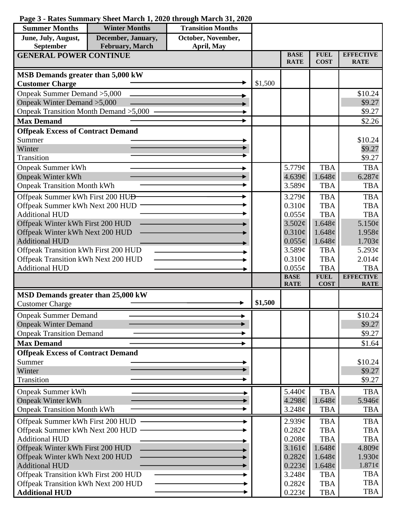## **Page 3 - Rates Summary Sheet March 1, 2020 through March 31, 2020**

| <b>Summer Months</b>                                                        | <b>Winter Months</b> | <b>Transition Months</b> |         |                            |                      |                        |
|-----------------------------------------------------------------------------|----------------------|--------------------------|---------|----------------------------|----------------------|------------------------|
| June, July, August,                                                         | December, January,   | October, November,       |         |                            |                      |                        |
| September                                                                   | February, March      | April, May               |         | <b>BASE</b>                | <b>FUEL</b>          | <b>EFFECTIVE</b>       |
| <b>GENERAL POWER CONTINUE</b>                                               |                      |                          |         | <b>RATE</b>                | <b>COST</b>          | <b>RATE</b>            |
| MSB Demands greater than 5,000 kW                                           |                      |                          |         |                            |                      |                        |
| <b>Customer Charge</b>                                                      |                      |                          | \$1,500 |                            |                      |                        |
| Onpeak Summer Demand > 5,000                                                |                      |                          |         |                            |                      | \$10.24                |
| Onpeak Winter Demand > 5,000                                                |                      |                          |         |                            |                      | \$9.27                 |
| Onpeak Transition Month Demand > 5,000                                      |                      |                          |         |                            |                      | \$9.27                 |
| <b>Max Demand</b>                                                           |                      |                          |         |                            |                      | \$2.26                 |
| <b>Offpeak Excess of Contract Demand</b>                                    |                      |                          |         |                            |                      |                        |
| Summer                                                                      |                      |                          |         |                            |                      | \$10.24                |
| Winter                                                                      |                      |                          |         |                            |                      | \$9.27                 |
| Transition                                                                  |                      |                          |         |                            |                      | \$9.27                 |
| <b>Onpeak Summer kWh</b>                                                    |                      |                          |         | 5.779¢                     | <b>TBA</b>           | <b>TBA</b>             |
| <b>Onpeak Winter kWh</b>                                                    |                      |                          |         | 4.639¢                     | 1.648¢               | $6.287$ ¢              |
| <b>Onpeak Transition Month kWh</b>                                          |                      |                          |         | 3.589¢                     | <b>TBA</b>           | <b>TBA</b>             |
| Offpeak Summer kWh First 200 HU <del>D</del>                                |                      |                          |         | 3.279¢                     | <b>TBA</b>           | <b>TBA</b>             |
| Offpeak Summer kWh Next 200 HUD                                             |                      |                          |         | 0.310¢                     | <b>TBA</b>           | <b>TBA</b>             |
| <b>Additional HUD</b>                                                       |                      |                          |         | $0.055\phi$                | <b>TBA</b>           | <b>TBA</b>             |
| Offpeak Winter kWh First 200 HUD                                            |                      |                          |         | 3.502¢                     | 1.648¢               | 5.150¢                 |
| Offpeak Winter kWh Next 200 HUD<br><b>Additional HUD</b>                    |                      |                          |         | $0.310\phi$                | 1.648¢               | 1.958c                 |
|                                                                             |                      |                          |         | $0.055\phi$<br>3.589¢      | 1.648¢<br><b>TBA</b> | 1.703¢<br>5.293 $\phi$ |
| Offpeak Transition kWh First 200 HUD<br>Offpeak Transition kWh Next 200 HUD |                      |                          |         | $0.310\phi$                | <b>TBA</b>           | 2.014¢                 |
| <b>Additional HUD</b>                                                       |                      |                          |         | $0.055\phi$                | <b>TBA</b>           | <b>TBA</b>             |
|                                                                             |                      |                          |         | <b>BASE</b>                | <b>FUEL</b>          | <b>EFFECTIVE</b>       |
|                                                                             |                      |                          |         | <b>RATE</b>                | <b>COST</b>          | <b>RATE</b>            |
| MSD Demands greater than 25,000 kW                                          |                      |                          | \$1,500 |                            |                      |                        |
| <b>Customer Charge</b>                                                      |                      |                          |         |                            |                      |                        |
| <b>Onpeak Summer Demand</b>                                                 |                      |                          |         |                            |                      | \$10.24                |
| <b>Onpeak Winter Demand</b>                                                 |                      |                          |         |                            |                      | \$9.27                 |
| <b>Onpeak Transition Demand</b>                                             |                      |                          |         |                            |                      | \$9.27                 |
| <b>Max Demand</b>                                                           |                      |                          |         |                            |                      | \$1.64                 |
| <b>Offpeak Excess of Contract Demand</b>                                    |                      |                          |         |                            |                      |                        |
| Summer<br>Winter                                                            |                      |                          |         |                            |                      | \$10.24<br>\$9.27      |
| Transition                                                                  |                      |                          |         |                            |                      | \$9.27                 |
|                                                                             |                      |                          |         |                            |                      |                        |
| <b>Onpeak Summer kWh</b>                                                    |                      |                          |         | 5.440¢                     | <b>TBA</b>           | <b>TBA</b>             |
| <b>Onpeak Winter kWh</b><br><b>Onpeak Transition Month kWh</b>              |                      |                          |         | 4.298¢<br>3.248¢           | 1.648¢<br><b>TBA</b> | $5.946\ell$            |
|                                                                             |                      |                          |         |                            |                      | <b>TBA</b>             |
| Offpeak Summer kWh First 200 HUD                                            |                      |                          |         | 2.939¢                     | <b>TBA</b>           | <b>TBA</b>             |
| Offpeak Summer kWh Next 200 HUD                                             |                      |                          |         | 0.282¢                     | <b>TBA</b>           | <b>TBA</b>             |
| <b>Additional HUD</b>                                                       |                      |                          |         | $0.208\phi$                | <b>TBA</b>           | <b>TBA</b>             |
| Offpeak Winter kWh First 200 HUD<br>Offpeak Winter kWh Next 200 HUD         |                      |                          |         | $3.161\phi$<br>$0.282\phi$ | 1.648¢<br>1.648¢     | 4.809¢<br>$1.930\phi$  |
| <b>Additional HUD</b>                                                       |                      |                          |         | $0.223\phi$                | 1.648¢               | $1.871\phi$            |
| Offpeak Transition kWh First 200 HUD                                        |                      |                          |         | 3.248¢                     | <b>TBA</b>           | <b>TBA</b>             |
| Offpeak Transition kWh Next 200 HUD                                         |                      |                          |         | $0.282\ell$                | <b>TBA</b>           | <b>TBA</b>             |
| <b>Additional HUD</b>                                                       |                      |                          |         | $0.223\phi$                | <b>TBA</b>           | <b>TBA</b>             |